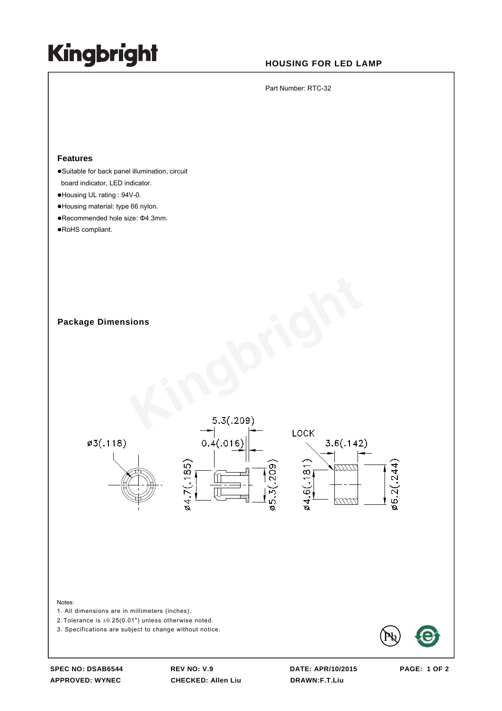# **Kingbright**

## **HOUSING FOR LED LAMP**

Part Number: RTC-32

### **Features**

- ·Suitable for back panel illumination, circuit board indicator, LED indicator.
- $\bullet$  Housing UL rating : 94V-0.
- zHousing material: type 66 nylon.
- •Recommended hole size: Φ4.3mm.
- •RoHS compliant.

**Package Dimensions** 



#### Notes:

1. All dimensions are in millimeters (inches).

2. Tolerance is  $\pm 0.25(0.01")$  unless otherwise noted.

3. Specifications are subject to change without notice.



**APPROVED: WYNEC CHECKED: Allen Liu DRAWN:F.T.Liu** 

**SPEC NO: DSAB6544 REV NO: V.9 DATE: APR/10/2015 PAGE: 1 OF 2**